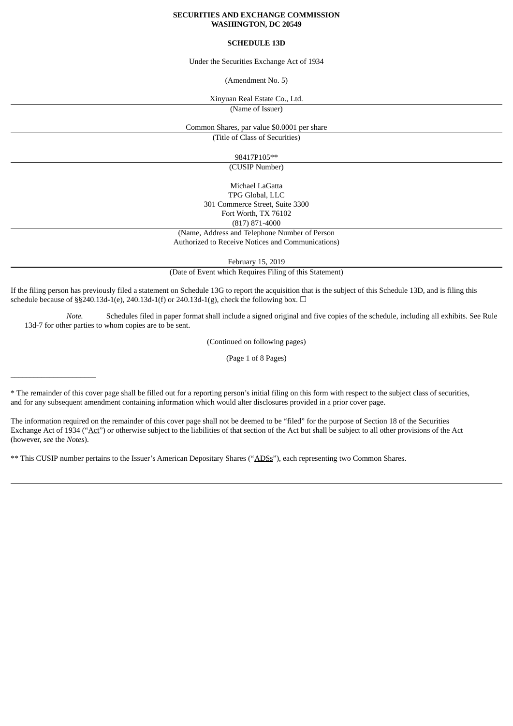#### **SECURITIES AND EXCHANGE COMMISSION WASHINGTON, DC 20549**

## **SCHEDULE 13D**

#### Under the Securities Exchange Act of 1934

(Amendment No. 5)

Xinyuan Real Estate Co., Ltd.

(Name of Issuer)

Common Shares, par value \$0.0001 per share

(Title of Class of Securities)

98417P105\*\*

(CUSIP Number)

Michael LaGatta TPG Global, LLC 301 Commerce Street, Suite 3300 Fort Worth, TX 76102 (817) 871-4000

(Name, Address and Telephone Number of Person

Authorized to Receive Notices and Communications)

February 15, 2019

(Date of Event which Requires Filing of this Statement)

If the filing person has previously filed a statement on Schedule 13G to report the acquisition that is the subject of this Schedule 13D, and is filing this schedule because of §§240.13d-1(e), 240.13d-1(f) or 240.13d-1(g), check the following box.  $\Box$ 

*Note.* Schedules filed in paper format shall include a signed original and five copies of the schedule, including all exhibits. See Rule 13d-7 for other parties to whom copies are to be sent.

(Continued on following pages)

(Page 1 of 8 Pages)

\* The remainder of this cover page shall be filled out for a reporting person's initial filing on this form with respect to the subject class of securities, and for any subsequent amendment containing information which would alter disclosures provided in a prior cover page.

The information required on the remainder of this cover page shall not be deemed to be "filed" for the purpose of Section 18 of the Securities Exchange Act of 1934 ("Act") or otherwise subject to the liabilities of that section of the Act but shall be subject to all other provisions of the Act (however, *see* the *Notes*).

\*\* This CUSIP number pertains to the Issuer's American Depositary Shares ("ADSs"), each representing two Common Shares.

\_\_\_\_\_\_\_\_\_\_\_\_\_\_\_\_\_\_\_\_\_\_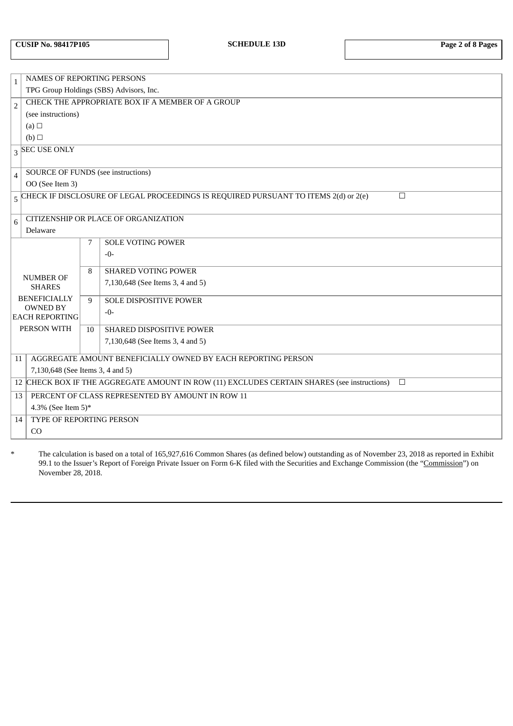| <b>CUSIP No. 98417P105</b> |  |  |  |
|----------------------------|--|--|--|
|----------------------------|--|--|--|

| $\,1\,$        | <b>NAMES OF REPORTING PERSONS</b>                                                                     |    |                                                                                     |        |
|----------------|-------------------------------------------------------------------------------------------------------|----|-------------------------------------------------------------------------------------|--------|
|                | TPG Group Holdings (SBS) Advisors, Inc.                                                               |    |                                                                                     |        |
| $\overline{2}$ | CHECK THE APPROPRIATE BOX IF A MEMBER OF A GROUP                                                      |    |                                                                                     |        |
|                | (see instructions)                                                                                    |    |                                                                                     |        |
|                | (a) $\square$                                                                                         |    |                                                                                     |        |
|                | (b)                                                                                                   |    |                                                                                     |        |
|                | $3$ SEC USE ONLY                                                                                      |    |                                                                                     |        |
|                |                                                                                                       |    |                                                                                     |        |
| $\overline{4}$ | <b>SOURCE OF FUNDS (see instructions)</b>                                                             |    |                                                                                     |        |
|                | OO (See Item 3)                                                                                       |    |                                                                                     |        |
| 5              |                                                                                                       |    | CHECK IF DISCLOSURE OF LEGAL PROCEEDINGS IS REQUIRED PURSUANT TO ITEMS 2(d) or 2(e) | $\Box$ |
|                |                                                                                                       |    |                                                                                     |        |
| $6\phantom{1}$ |                                                                                                       |    | CITIZENSHIP OR PLACE OF ORGANIZATION                                                |        |
|                | Delaware                                                                                              |    |                                                                                     |        |
|                |                                                                                                       | 7  | <b>SOLE VOTING POWER</b>                                                            |        |
|                |                                                                                                       |    | $-0-$                                                                               |        |
|                |                                                                                                       | 8  | <b>SHARED VOTING POWER</b>                                                          |        |
|                | <b>NUMBER OF</b>                                                                                      |    | 7,130,648 (See Items 3, 4 and 5)                                                    |        |
|                | <b>SHARES</b>                                                                                         |    |                                                                                     |        |
|                | <b>BENEFICIALLY</b>                                                                                   | 9  | SOLE DISPOSITIVE POWER                                                              |        |
|                | <b>OWNED BY</b><br><b>EACH REPORTING</b>                                                              |    | $-0-$                                                                               |        |
|                |                                                                                                       |    |                                                                                     |        |
|                | PERSON WITH                                                                                           | 10 | <b>SHARED DISPOSITIVE POWER</b>                                                     |        |
|                |                                                                                                       |    | 7,130,648 (See Items 3, 4 and 5)                                                    |        |
| 11             |                                                                                                       |    | AGGREGATE AMOUNT BENEFICIALLY OWNED BY EACH REPORTING PERSON                        |        |
|                | 7,130,648 (See Items 3, 4 and 5)                                                                      |    |                                                                                     |        |
|                | 12 CHECK BOX IF THE AGGREGATE AMOUNT IN ROW (11) EXCLUDES CERTAIN SHARES (see instructions)<br>$\Box$ |    |                                                                                     |        |
|                | PERCENT OF CLASS REPRESENTED BY AMOUNT IN ROW 11<br>13                                                |    |                                                                                     |        |
|                | 4.3% (See Item 5)*                                                                                    |    |                                                                                     |        |
| 14             | TYPE OF REPORTING PERSON                                                                              |    |                                                                                     |        |
|                | CO                                                                                                    |    |                                                                                     |        |
|                |                                                                                                       |    |                                                                                     |        |

\* The calculation is based on a total of 165,927,616 Common Shares (as defined below) outstanding as of November 23, 2018 as reported in Exhibit 99.1 to the Issuer's Report of Foreign Private Issuer on Form 6-K filed with the Securities and Exchange Commission (the "Commission") on November 28, 2018.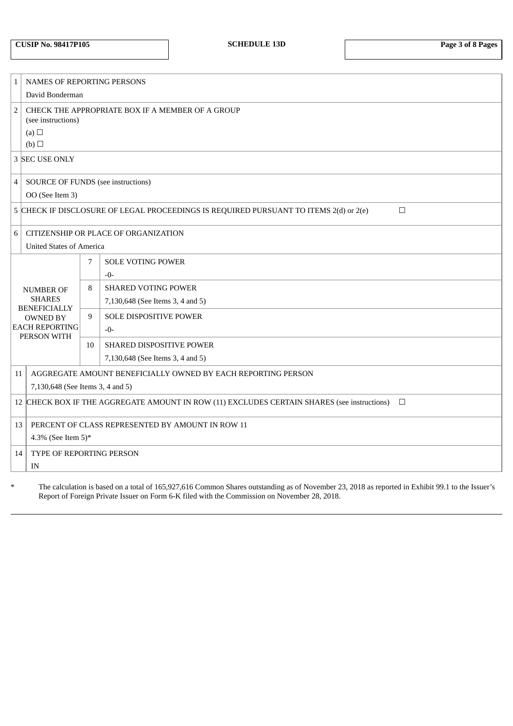| <b>CUSIP No. 98417P105</b> |  |
|----------------------------|--|
|----------------------------|--|

| $\mathbf 1$                       | NAMES OF REPORTING PERSONS                                                                      |    |                                                              |
|-----------------------------------|-------------------------------------------------------------------------------------------------|----|--------------------------------------------------------------|
|                                   | David Bonderman                                                                                 |    |                                                              |
| $\overline{2}$                    | CHECK THE APPROPRIATE BOX IF A MEMBER OF A GROUP<br>(see instructions)                          |    |                                                              |
|                                   | (a) $\Box$                                                                                      |    |                                                              |
|                                   | (b)                                                                                             |    |                                                              |
|                                   | 3 SEC USE ONLY                                                                                  |    |                                                              |
| $\overline{4}$                    | SOURCE OF FUNDS (see instructions)                                                              |    |                                                              |
|                                   | OO (See Item 3)                                                                                 |    |                                                              |
|                                   | 5 CHECK IF DISCLOSURE OF LEGAL PROCEEDINGS IS REQUIRED PURSUANT TO ITEMS 2(d) or 2(e)<br>$\Box$ |    |                                                              |
| 6                                 | CITIZENSHIP OR PLACE OF ORGANIZATION                                                            |    |                                                              |
|                                   | <b>United States of America</b>                                                                 |    |                                                              |
|                                   |                                                                                                 | 7  | <b>SOLE VOTING POWER</b>                                     |
| <b>NUMBER OF</b><br><b>SHARES</b> |                                                                                                 |    | $-0-$                                                        |
|                                   |                                                                                                 | 8  | <b>SHARED VOTING POWER</b>                                   |
|                                   |                                                                                                 |    | 7,130,648 (See Items 3, 4 and 5)                             |
|                                   | <b>BENEFICIALLY</b><br><b>OWNED BY</b>                                                          | 9  | SOLE DISPOSITIVE POWER                                       |
| <b>EACH REPORTING</b>             |                                                                                                 |    | $-0-$                                                        |
|                                   | PERSON WITH                                                                                     | 10 | <b>SHARED DISPOSITIVE POWER</b>                              |
|                                   |                                                                                                 |    | 7,130,648 (See Items 3, 4 and 5)                             |
| 11                                |                                                                                                 |    | AGGREGATE AMOUNT BENEFICIALLY OWNED BY EACH REPORTING PERSON |
|                                   | 7,130,648 (See Items 3, 4 and 5)                                                                |    |                                                              |
|                                   |                                                                                                 |    | $\Box$                                                       |
|                                   | 12 CHECK BOX IF THE AGGREGATE AMOUNT IN ROW (11) EXCLUDES CERTAIN SHARES (see instructions)     |    |                                                              |
| 13                                | PERCENT OF CLASS REPRESENTED BY AMOUNT IN ROW 11                                                |    |                                                              |
|                                   | 4.3% (See Item 5)*                                                                              |    |                                                              |
| 14                                | TYPE OF REPORTING PERSON                                                                        |    |                                                              |
|                                   | IN                                                                                              |    |                                                              |
|                                   |                                                                                                 |    |                                                              |

\* The calculation is based on a total of 165,927,616 Common Shares outstanding as of November 23, 2018 as reported in Exhibit 99.1 to the Issuer's Report of Foreign Private Issuer on Form 6-K filed with the Commission on November 28, 2018.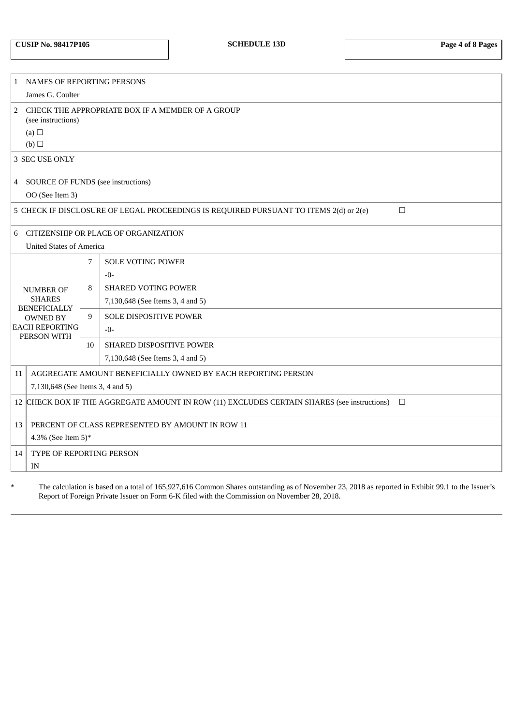| <b>CUSIP No. 98417P105</b> |  |  |  |
|----------------------------|--|--|--|
|----------------------------|--|--|--|

| $\mathbf 1$      | NAMES OF REPORTING PERSONS                                                                            |    |                                                              |  |
|------------------|-------------------------------------------------------------------------------------------------------|----|--------------------------------------------------------------|--|
|                  | James G. Coulter                                                                                      |    |                                                              |  |
| $\overline{2}$   | CHECK THE APPROPRIATE BOX IF A MEMBER OF A GROUP<br>(see instructions)                                |    |                                                              |  |
|                  | (a) $\Box$                                                                                            |    |                                                              |  |
|                  | (b)                                                                                                   |    |                                                              |  |
|                  | 3 SEC USE ONLY                                                                                        |    |                                                              |  |
| $\overline{4}$   | SOURCE OF FUNDS (see instructions)                                                                    |    |                                                              |  |
|                  | OO (See Item 3)                                                                                       |    |                                                              |  |
| 5                | CHECK IF DISCLOSURE OF LEGAL PROCEEDINGS IS REQUIRED PURSUANT TO ITEMS 2(d) or 2(e)<br>$\Box$         |    |                                                              |  |
| 6                | CITIZENSHIP OR PLACE OF ORGANIZATION                                                                  |    |                                                              |  |
|                  | <b>United States of America</b>                                                                       |    |                                                              |  |
|                  | 7<br><b>SOLE VOTING POWER</b>                                                                         |    |                                                              |  |
|                  |                                                                                                       |    | $-0-$                                                        |  |
| <b>NUMBER OF</b> |                                                                                                       | 8  | <b>SHARED VOTING POWER</b>                                   |  |
|                  | <b>SHARES</b>                                                                                         |    | 7,130,648 (See Items 3, 4 and 5)                             |  |
|                  | <b>BENEFICIALLY</b><br><b>OWNED BY</b>                                                                |    | <b>SOLE DISPOSITIVE POWER</b>                                |  |
|                  | <b>EACH REPORTING</b>                                                                                 | 9  | $-0-$                                                        |  |
|                  | PERSON WITH                                                                                           | 10 | SHARED DISPOSITIVE POWER                                     |  |
|                  |                                                                                                       |    | 7,130,648 (See Items 3, 4 and 5)                             |  |
| 11               |                                                                                                       |    | AGGREGATE AMOUNT BENEFICIALLY OWNED BY EACH REPORTING PERSON |  |
|                  | 7,130,648 (See Items 3, 4 and 5)                                                                      |    |                                                              |  |
|                  |                                                                                                       |    |                                                              |  |
|                  | 12 CHECK BOX IF THE AGGREGATE AMOUNT IN ROW (11) EXCLUDES CERTAIN SHARES (see instructions)<br>$\Box$ |    |                                                              |  |
| 13               | PERCENT OF CLASS REPRESENTED BY AMOUNT IN ROW 11                                                      |    |                                                              |  |
|                  | 4.3% (See Item 5)*                                                                                    |    |                                                              |  |
| 14               | TYPE OF REPORTING PERSON                                                                              |    |                                                              |  |
|                  | IN                                                                                                    |    |                                                              |  |

\* The calculation is based on a total of 165,927,616 Common Shares outstanding as of November 23, 2018 as reported in Exhibit 99.1 to the Issuer's Report of Foreign Private Issuer on Form 6-K filed with the Commission on November 28, 2018.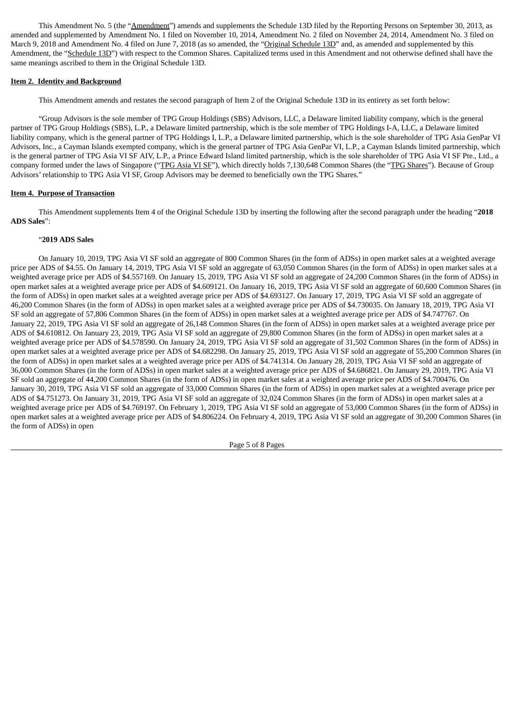This Amendment No. 5 (the "Amendment") amends and supplements the Schedule 13D filed by the Reporting Persons on September 30, 2013, as amended and supplemented by Amendment No. 1 filed on November 10, 2014, Amendment No. 2 filed on November 24, 2014, Amendment No. 3 filed on March 9, 2018 and Amendment No. 4 filed on June 7, 2018 (as so amended, the "Original Schedule 13D" and, as amended and supplemented by this Amendment, the "Schedule 13D") with respect to the Common Shares. Capitalized terms used in this Amendment and not otherwise defined shall have the same meanings ascribed to them in the Original Schedule 13D.

## **Item 2. Identity and Background**

This Amendment amends and restates the second paragraph of Item 2 of the Original Schedule 13D in its entirety as set forth below:

"Group Advisors is the sole member of TPG Group Holdings (SBS) Advisors, LLC, a Delaware limited liability company, which is the general partner of TPG Group Holdings (SBS), L.P., a Delaware limited partnership, which is the sole member of TPG Holdings I-A, LLC, a Delaware limited liability company, which is the general partner of TPG Holdings I, L.P., a Delaware limited partnership, which is the sole shareholder of TPG Asia GenPar VI Advisors, Inc., a Cayman Islands exempted company, which is the general partner of TPG Asia GenPar VI, L.P., a Cayman Islands limited partnership, which is the general partner of TPG Asia VI SF AIV, L.P., a Prince Edward Island limited partnership, which is the sole shareholder of TPG Asia VI SF Pte., Ltd., a company formed under the laws of Singapore ("TPG Asia VI SF"), which directly holds 7,130,648 Common Shares (the "TPG Shares"). Because of Group Advisors' relationship to TPG Asia VI SF, Group Advisors may be deemed to beneficially own the TPG Shares."

## **Item 4. Purpose of Transaction**

This Amendment supplements Item 4 of the Original Schedule 13D by inserting the following after the second paragraph under the heading "**2018 ADS Sales**":

#### "**2019 ADS Sales**

On January 10, 2019, TPG Asia VI SF sold an aggregate of 800 Common Shares (in the form of ADSs) in open market sales at a weighted average price per ADS of \$4.55. On January 14, 2019, TPG Asia VI SF sold an aggregate of 63,050 Common Shares (in the form of ADSs) in open market sales at a weighted average price per ADS of \$4.557169. On January 15, 2019, TPG Asia VI SF sold an aggregate of 24,200 Common Shares (in the form of ADSs) in open market sales at a weighted average price per ADS of \$4.609121. On January 16, 2019, TPG Asia VI SF sold an aggregate of 60,600 Common Shares (in the form of ADSs) in open market sales at a weighted average price per ADS of \$4.693127. On January 17, 2019, TPG Asia VI SF sold an aggregate of 46,200 Common Shares (in the form of ADSs) in open market sales at a weighted average price per ADS of \$4.730035. On January 18, 2019, TPG Asia VI SF sold an aggregate of 57,806 Common Shares (in the form of ADSs) in open market sales at a weighted average price per ADS of \$4.747767. On January 22, 2019, TPG Asia VI SF sold an aggregate of 26,148 Common Shares (in the form of ADSs) in open market sales at a weighted average price per ADS of \$4.610812. On January 23, 2019, TPG Asia VI SF sold an aggregate of 29,800 Common Shares (in the form of ADSs) in open market sales at a weighted average price per ADS of \$4.578590. On January 24, 2019, TPG Asia VI SF sold an aggregate of 31,502 Common Shares (in the form of ADSs) in open market sales at a weighted average price per ADS of \$4.682298. On January 25, 2019, TPG Asia VI SF sold an aggregate of 55,200 Common Shares (in the form of ADSs) in open market sales at a weighted average price per ADS of \$4.741314. On January 28, 2019, TPG Asia VI SF sold an aggregate of 36,000 Common Shares (in the form of ADSs) in open market sales at a weighted average price per ADS of \$4.686821. On January 29, 2019, TPG Asia VI SF sold an aggregate of 44,200 Common Shares (in the form of ADSs) in open market sales at a weighted average price per ADS of \$4.700476. On January 30, 2019, TPG Asia VI SF sold an aggregate of 33,000 Common Shares (in the form of ADSs) in open market sales at a weighted average price per ADS of \$4.751273. On January 31, 2019, TPG Asia VI SF sold an aggregate of 32,024 Common Shares (in the form of ADSs) in open market sales at a weighted average price per ADS of \$4.769197. On February 1, 2019, TPG Asia VI SF sold an aggregate of 53,000 Common Shares (in the form of ADSs) in open market sales at a weighted average price per ADS of \$4.806224. On February 4, 2019, TPG Asia VI SF sold an aggregate of 30,200 Common Shares (in the form of ADSs) in open

Page 5 of 8 Pages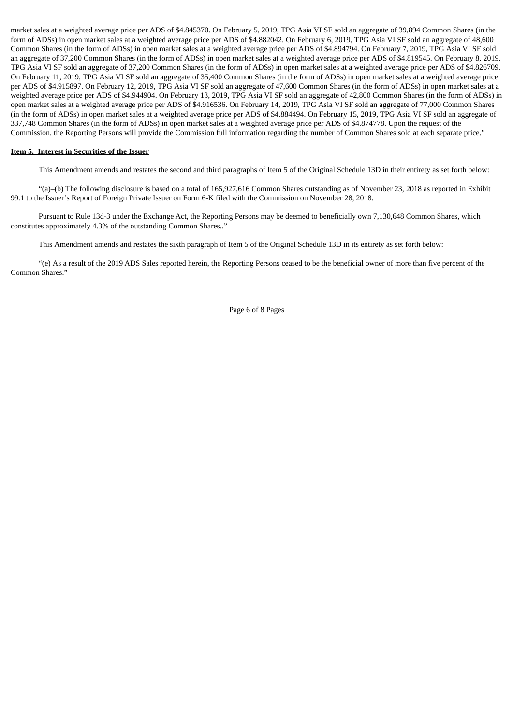market sales at a weighted average price per ADS of \$4.845370. On February 5, 2019, TPG Asia VI SF sold an aggregate of 39,894 Common Shares (in the form of ADSs) in open market sales at a weighted average price per ADS of \$4.882042. On February 6, 2019, TPG Asia VI SF sold an aggregate of 48,600 Common Shares (in the form of ADSs) in open market sales at a weighted average price per ADS of \$4.894794. On February 7, 2019, TPG Asia VI SF sold an aggregate of 37,200 Common Shares (in the form of ADSs) in open market sales at a weighted average price per ADS of \$4.819545. On February 8, 2019, TPG Asia VI SF sold an aggregate of 37,200 Common Shares (in the form of ADSs) in open market sales at a weighted average price per ADS of \$4.826709. On February 11, 2019, TPG Asia VI SF sold an aggregate of 35,400 Common Shares (in the form of ADSs) in open market sales at a weighted average price per ADS of \$4.915897. On February 12, 2019, TPG Asia VI SF sold an aggregate of 47,600 Common Shares (in the form of ADSs) in open market sales at a weighted average price per ADS of \$4.944904. On February 13, 2019, TPG Asia VI SF sold an aggregate of 42,800 Common Shares (in the form of ADSs) in open market sales at a weighted average price per ADS of \$4.916536. On February 14, 2019, TPG Asia VI SF sold an aggregate of 77,000 Common Shares (in the form of ADSs) in open market sales at a weighted average price per ADS of \$4.884494. On February 15, 2019, TPG Asia VI SF sold an aggregate of 337,748 Common Shares (in the form of ADSs) in open market sales at a weighted average price per ADS of \$4.874778. Upon the request of the Commission, the Reporting Persons will provide the Commission full information regarding the number of Common Shares sold at each separate price."

## **Item 5. Interest in Securities of the Issuer**

This Amendment amends and restates the second and third paragraphs of Item 5 of the Original Schedule 13D in their entirety as set forth below:

"(a)–(b) The following disclosure is based on a total of 165,927,616 Common Shares outstanding as of November 23, 2018 as reported in Exhibit 99.1 to the Issuer's Report of Foreign Private Issuer on Form 6-K filed with the Commission on November 28, 2018.

Pursuant to Rule 13d-3 under the Exchange Act, the Reporting Persons may be deemed to beneficially own 7,130,648 Common Shares, which constitutes approximately 4.3% of the outstanding Common Shares.."

This Amendment amends and restates the sixth paragraph of Item 5 of the Original Schedule 13D in its entirety as set forth below:

"(e) As a result of the 2019 ADS Sales reported herein, the Reporting Persons ceased to be the beneficial owner of more than five percent of the Common Shares."

Page 6 of 8 Pages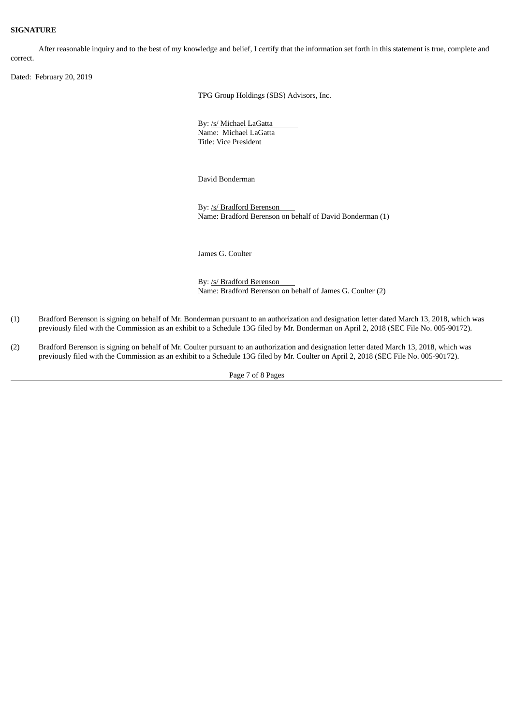#### **SIGNATURE**

After reasonable inquiry and to the best of my knowledge and belief, I certify that the information set forth in this statement is true, complete and correct.

Dated: February 20, 2019

TPG Group Holdings (SBS) Advisors, Inc.

By: /s/ Michael LaGatta Name: Michael LaGatta Title: Vice President

David Bonderman

By: /s/ Bradford Berenson Name: Bradford Berenson on behalf of David Bonderman (1)

James G. Coulter

By: /s/ Bradford Berenson Name: Bradford Berenson on behalf of James G. Coulter (2)

- (1) Bradford Berenson is signing on behalf of Mr. Bonderman pursuant to an authorization and designation letter dated March 13, 2018, which was previously filed with the Commission as an exhibit to a Schedule 13G filed by Mr. Bonderman on April 2, 2018 (SEC File No. 005-90172).
- (2) Bradford Berenson is signing on behalf of Mr. Coulter pursuant to an authorization and designation letter dated March 13, 2018, which was previously filed with the Commission as an exhibit to a Schedule 13G filed by Mr. Coulter on April 2, 2018 (SEC File No. 005-90172).

Page 7 of 8 Pages